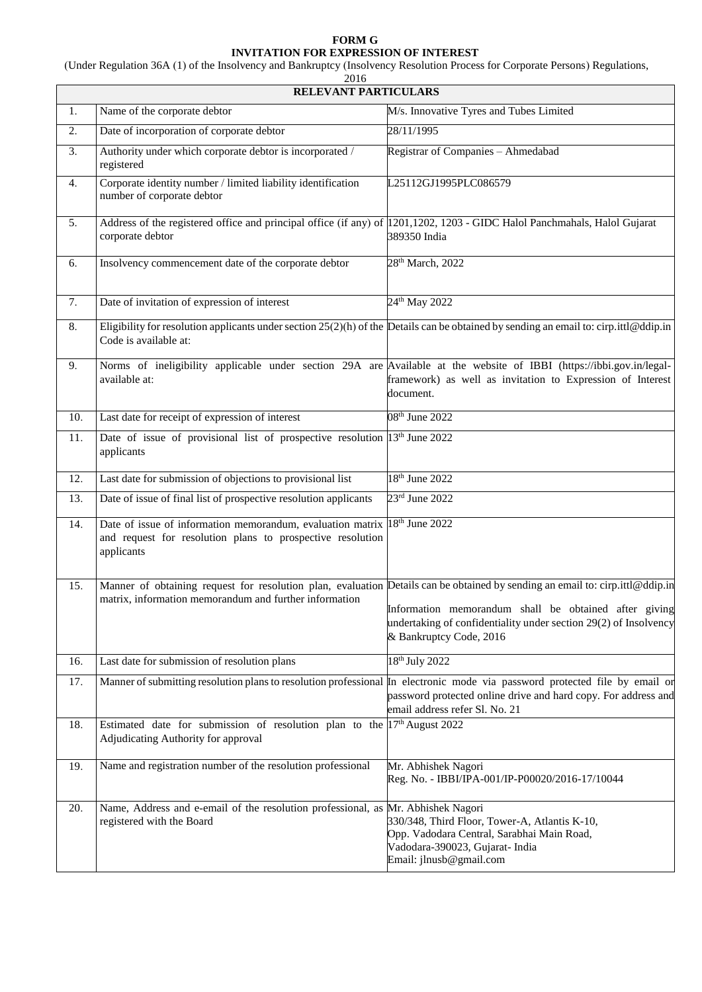## **FORM G INVITATION FOR EXPRESSION OF INTEREST**

(Under Regulation 36A (1) of the Insolvency and Bankruptcy (Insolvency Resolution Process for Corporate Persons) Regulations,

| 2016<br>RELEVANT PARTICULARS                                                  |                                                                                                                                               |                                                                                                                                                                                                                                                                                       |  |
|-------------------------------------------------------------------------------|-----------------------------------------------------------------------------------------------------------------------------------------------|---------------------------------------------------------------------------------------------------------------------------------------------------------------------------------------------------------------------------------------------------------------------------------------|--|
| Name of the corporate debtor<br>M/s. Innovative Tyres and Tubes Limited<br>1. |                                                                                                                                               |                                                                                                                                                                                                                                                                                       |  |
|                                                                               |                                                                                                                                               | 28/11/1995                                                                                                                                                                                                                                                                            |  |
| 2.                                                                            | Date of incorporation of corporate debtor                                                                                                     |                                                                                                                                                                                                                                                                                       |  |
| 3.                                                                            | Authority under which corporate debtor is incorporated /<br>registered                                                                        | Registrar of Companies - Ahmedabad                                                                                                                                                                                                                                                    |  |
| 4.                                                                            | Corporate identity number / limited liability identification<br>number of corporate debtor                                                    | L25112GJ1995PLC086579                                                                                                                                                                                                                                                                 |  |
| 5.                                                                            | Address of the registered office and principal office (if any) of 1201,1202, 1203 - GIDC Halol Panchmahals, Halol Gujarat<br>corporate debtor | 389350 India                                                                                                                                                                                                                                                                          |  |
| 6.                                                                            | Insolvency commencement date of the corporate debtor                                                                                          | 28 <sup>th</sup> March, 2022                                                                                                                                                                                                                                                          |  |
| 7.                                                                            | Date of invitation of expression of interest                                                                                                  | 24 <sup>th</sup> May 2022                                                                                                                                                                                                                                                             |  |
| 8.                                                                            | Code is available at:                                                                                                                         | Eligibility for resolution applicants under section $25(2)(h)$ of the Details can be obtained by sending an email to: cirp.ittl@ddip.in                                                                                                                                               |  |
| 9.                                                                            | available at:                                                                                                                                 | Norms of ineligibility applicable under section 29A are Available at the website of IBBI (https://ibbi.gov.in/legal-<br>framework) as well as invitation to Expression of Interest<br>document.                                                                                       |  |
| 10.                                                                           | Last date for receipt of expression of interest                                                                                               | 08 <sup>th</sup> June 2022                                                                                                                                                                                                                                                            |  |
| 11.                                                                           | Date of issue of provisional list of prospective resolution 13 <sup>th</sup> June 2022<br>applicants                                          |                                                                                                                                                                                                                                                                                       |  |
| 12.                                                                           | Last date for submission of objections to provisional list                                                                                    | 18 <sup>th</sup> June 2022                                                                                                                                                                                                                                                            |  |
| 13.                                                                           | Date of issue of final list of prospective resolution applicants                                                                              | $23rd$ June $2022$                                                                                                                                                                                                                                                                    |  |
| 14.                                                                           | Date of issue of information memorandum, evaluation matrix<br>and request for resolution plans to prospective resolution<br>applicants        | 18 <sup>th</sup> June 2022                                                                                                                                                                                                                                                            |  |
| 15.                                                                           | matrix, information memorandum and further information                                                                                        | Manner of obtaining request for resolution plan, evaluation Details can be obtained by sending an email to: cirp.ittl@ddip.in<br>Information memorandum shall be obtained after giving<br>undertaking of confidentiality under section 29(2) of Insolvency<br>& Bankruptcy Code, 2016 |  |
| 16.                                                                           | Last date for submission of resolution plans                                                                                                  | 18 <sup>th</sup> July 2022                                                                                                                                                                                                                                                            |  |
| 17.                                                                           |                                                                                                                                               | Manner of submitting resolution plans to resolution professional In electronic mode via password protected file by email or<br>password protected online drive and hard copy. For address and<br>email address refer Sl. No. 21                                                       |  |
| 18.                                                                           | Estimated date for submission of resolution plan to the $17th$ August 2022<br>Adjudicating Authority for approval                             |                                                                                                                                                                                                                                                                                       |  |
| 19.                                                                           | Name and registration number of the resolution professional                                                                                   | Mr. Abhishek Nagori<br>Reg. No. - IBBI/IPA-001/IP-P00020/2016-17/10044                                                                                                                                                                                                                |  |
| 20.                                                                           | Name, Address and e-email of the resolution professional, as Mr. Abhishek Nagori<br>registered with the Board                                 | 330/348, Third Floor, Tower-A, Atlantis K-10,<br>Opp. Vadodara Central, Sarabhai Main Road,<br>Vadodara-390023, Gujarat- India<br>Email: jlnusb@gmail.com                                                                                                                             |  |